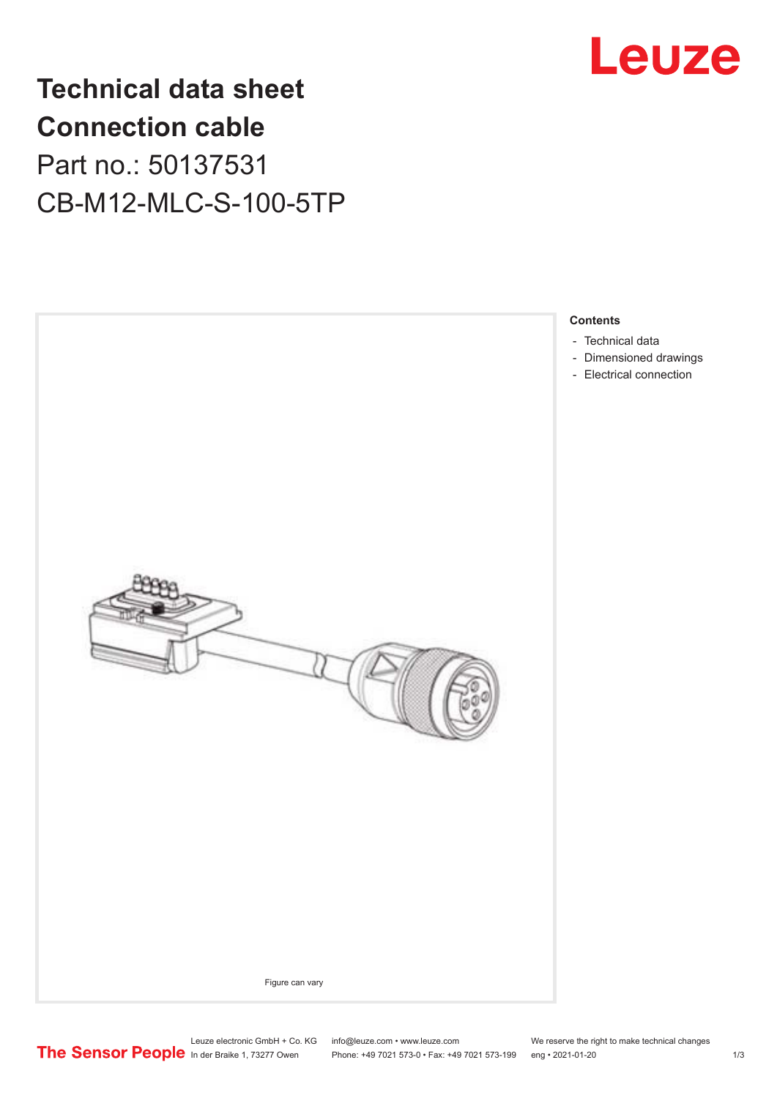

## **Technical data sheet Connection cable** Part no.: 50137531 CB-M12-MLC-S-100-5TP



Leuze electronic GmbH + Co. KG info@leuze.com • www.leuze.com We reserve the right to make technical changes<br>
The Sensor People in der Braike 1, 73277 Owen Phone: +49 7021 573-0 • Fax: +49 7021 573-199 eng • 2021-01-20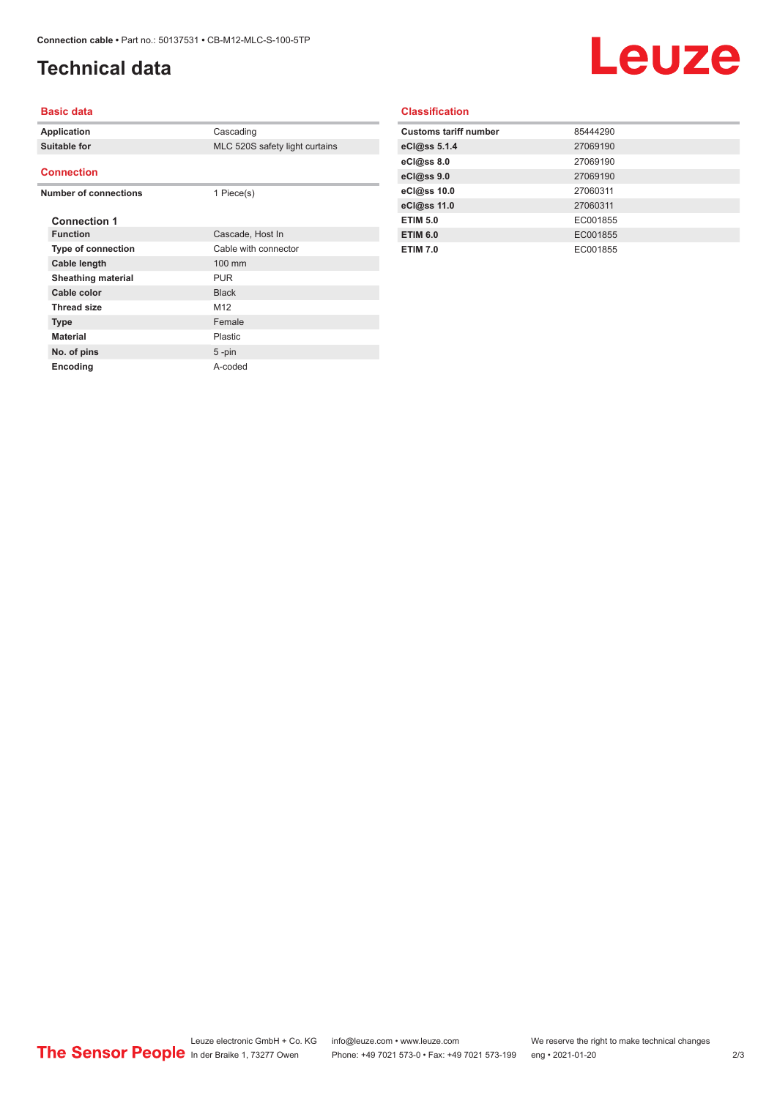## <span id="page-1-0"></span>**Technical data**

# Leuze

#### **Basic data**

| Application                  |                           | Cascading                      |
|------------------------------|---------------------------|--------------------------------|
| Suitable for                 |                           | MLC 520S safety light curtains |
|                              |                           |                                |
| <b>Connection</b>            |                           |                                |
| <b>Number of connections</b> |                           | 1 Piece(s)                     |
|                              |                           |                                |
|                              | <b>Connection 1</b>       |                                |
|                              | <b>Function</b>           | Cascade, Host In               |
|                              | Type of connection        | Cable with connector           |
|                              | Cable length              | 100 mm                         |
|                              | <b>Sheathing material</b> | <b>PUR</b>                     |
|                              | Cable color               | <b>Black</b>                   |
|                              | <b>Thread size</b>        | M <sub>12</sub>                |
|                              | <b>Type</b>               | Female                         |
|                              | <b>Material</b>           | Plastic                        |
|                              | No. of pins               | $5 - pin$                      |
|                              | Encoding                  | A-coded                        |
|                              |                           |                                |

### **Classification**

| <b>Customs tariff number</b> | 85444290 |
|------------------------------|----------|
| eCl@ss 5.1.4                 | 27069190 |
| eCl@ss 8.0                   | 27069190 |
| eCl@ss 9.0                   | 27069190 |
| eCl@ss 10.0                  | 27060311 |
| eCl@ss 11.0                  | 27060311 |
| <b>ETIM 5.0</b>              | EC001855 |
| <b>ETIM 6.0</b>              | EC001855 |
| <b>ETIM 7.0</b>              | EC001855 |
|                              |          |